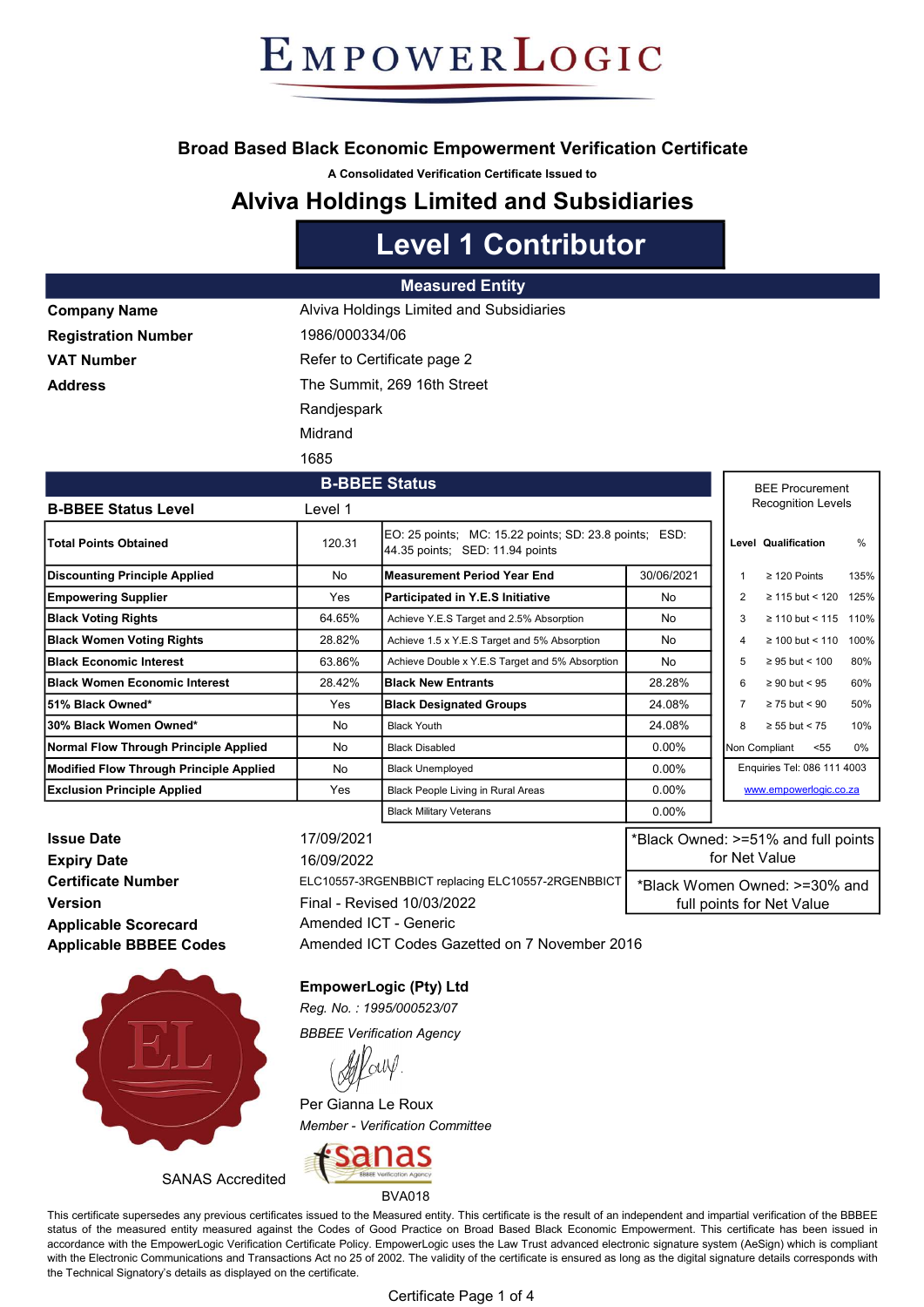### Broad Based Black Economic Empowerment Verification Certificate

A Consolidated Verification Certificate Issued to

### Alviva Holdings Limited and Subsidiaries

# Level 1 Contributor

#### Measured Entity

| <b>Company Name</b>        |  |
|----------------------------|--|
| <b>Registration Number</b> |  |
| <b>VAT Number</b>          |  |
| <b>Address</b>             |  |

1986/000334/06 Refer to Certificate page 2 The Summit, 269 16th Street **Randjespark** Alviva Holdings Limited and Subsidiaries Midrand

1685

#### B-BBEE Status Level 1 Total Points Obtained **120.31** EO: 25 points; MC: 15.22 points; SD: 23.8 points; ESD: Level Qualification % Discounting Principle Applied No Measurement Period Year End 190/06/2021 | 1 ≥ 120 Points 135% Empowering Supplier Material Merricipated in Y.E.S Initiative No 2 ≥ 115 but < 120 125% Black Voting Rights 64.65% Achieve Y.E.S Target and 2.5% Absorption No 3 ≥ 110 but < 115 110% Black Women Voting Rights 28.82% Achieve 1.5 x Y.E.S Target and 5% Absorption No 4 ≥ 100 but < 110 100% **Black Economic Interest 63.86%** Achieve Double x Y.E.S Target and 5% Absorption No 5 ≥ 95 but < 100 80% Black Women Economic Interest 28.42% Black New Entrants 28.28% 28.28% 6 ≥ 90 but < 95 60% 51% Black Owned\* The Some of the Some of the Some of Black Designated Groups and the 24.08% | | 7 ≥ 75 but < 90 50% 30% Black Women Owned\* No Black Youth 24.08% 8 ≥ 55 but < 75 10% Normal Flow Through Principle Applied No Black Disabled 1999 Nonether Nonethern 1999 Non Compliant <55 0% Non Compliant <55 0% Non Compliant <56 0% Non Compliant <56 0% Non Compliant <66 0% Non Compliant <66 0% Non Complia Modified Flow Through Principle Applied | No Black Unemployed | 0.00% **Exclusion Principle Applied** The Yes Black People Living in Rural Areas Number 10.00% Black Military Veterans **1988** 0.00% Enquiries Tel: 086 111 4003 www.empowerlogic.co.za 44.35 points; SED: 11.94 points BEE Procurement Recognition Levels B-BBEE Status

**Issue Date** 17/09/2021 **Expiry Date** 16/09/2022 Version **Final - Revised 10/03/2022** Applicable Scorecard Applicable BBBEE Codes



SANAS Accredited

Certificate Number ELC10557-3RGENBBICT replacing ELC10557-2RGENBBICT Amended ICT - Generic \*Black Owned: >=51% and full points for Net Value \*Black Women Owned: >=30% and full points for Net Value

EmpowerLogic (Pty) Ltd

Reg. No. : 1995/000523/07

BBBEE Verification Agency

Per Gianna Le Roux Member - Verification Committee



BVA018

This certificate supersedes any previous certificates issued to the Measured entity. This certificate is the result of an independent and impartial verification of the BBBEE status of the measured entity measured against the Codes of Good Practice on Broad Based Black Economic Empowerment. This certificate has been issued in accordance with the EmpowerLogic Verification Certificate Policy. EmpowerLogic uses the Law Trust advanced electronic signature system (AeSign) which is compliant with the Electronic Communications and Transactions Act no 25 of 2002. The validity of the certificate is ensured as long as the digital signature details corresponds with the Technical Signatory's details as displayed on the certificate.

Amended ICT Codes Gazetted on 7 November 2016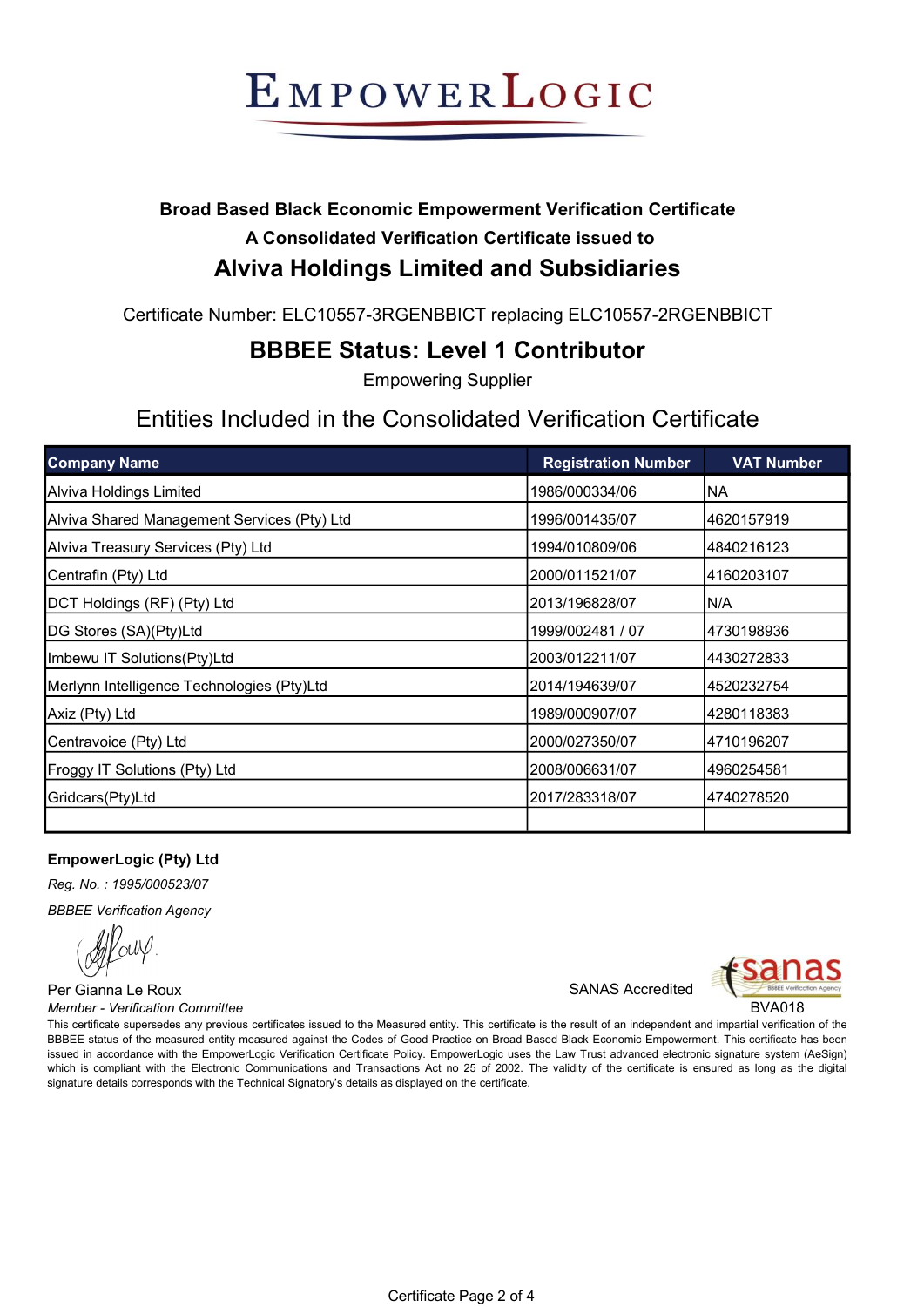## Broad Based Black Economic Empowerment Verification Certificate A Consolidated Verification Certificate issued to Alviva Holdings Limited and Subsidiaries

Certificate Number: ELC10557-3RGENBBICT replacing ELC10557-2RGENBBICT

## BBBEE Status: Level 1 Contributor

Empowering Supplier

## Entities Included in the Consolidated Verification Certificate

| <b>Company Name</b>                         | <b>Registration Number</b> | <b>VAT Number</b> |
|---------------------------------------------|----------------------------|-------------------|
| Alviva Holdings Limited                     | 1986/000334/06             | NA)               |
| Alviva Shared Management Services (Pty) Ltd | 1996/001435/07             | 4620157919        |
| Alviva Treasury Services (Pty) Ltd          | 1994/010809/06             | 4840216123        |
| Centrafin (Pty) Ltd                         | 2000/011521/07             | 4160203107        |
| DCT Holdings (RF) (Pty) Ltd                 | 2013/196828/07             | IN/A              |
| DG Stores (SA)(Pty)Ltd                      | 1999/002481 / 07           | 4730198936        |
| Imbewu IT Solutions(Pty)Ltd                 | 2003/012211/07             | 4430272833        |
| Merlynn Intelligence Technologies (Pty)Ltd  | 2014/194639/07             | 4520232754        |
| Axiz (Pty) Ltd                              | 1989/000907/07             | 4280118383        |
| Centravoice (Pty) Ltd                       | 2000/027350/07             | 4710196207        |
| Froggy IT Solutions (Pty) Ltd               | 2008/006631/07             | 4960254581        |
| Gridcars(Pty)Ltd                            | 2017/283318/07             | 4740278520        |
|                                             |                            |                   |

### EmpowerLogic (Pty) Ltd

Reg. No. : 1995/000523/07

BBBEE Verification Agency

Per Gianna Le Roux SANAS Accredited Member - Verification Committee **BVA018** 



This certificate supersedes any previous certificates issued to the Measured entity. This certificate is the result of an independent and impartial verification of the BBBEE status of the measured entity measured against the Codes of Good Practice on Broad Based Black Economic Empowerment. This certificate has been issued in accordance with the EmpowerLogic Verification Certificate Policy. EmpowerLogic uses the Law Trust advanced electronic signature system (AeSign) which is compliant with the Electronic Communications and Transactions Act no 25 of 2002. The validity of the certificate is ensured as long as the digital signature details corresponds with the Technical Signatory's details as displayed on the certificate.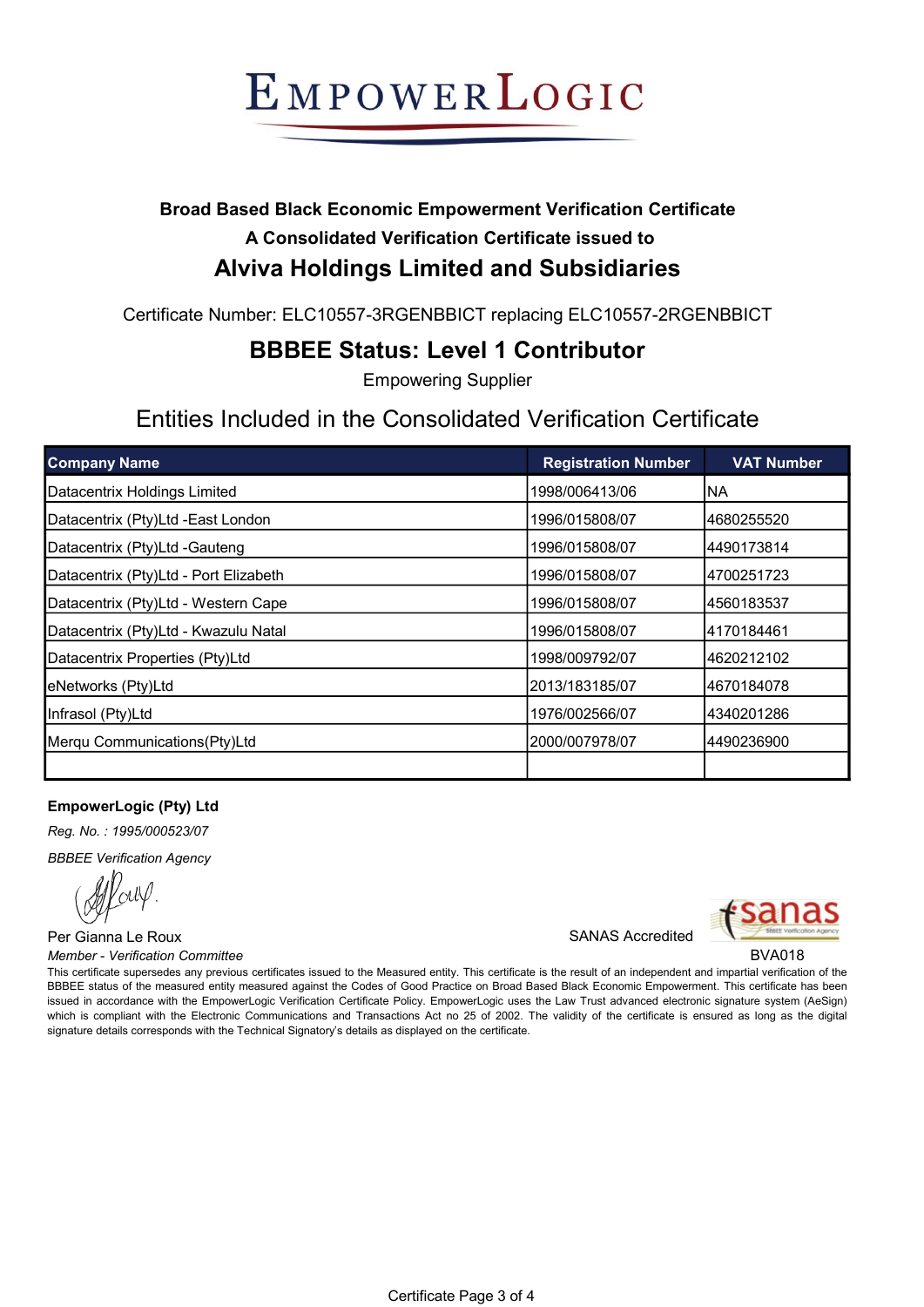## Broad Based Black Economic Empowerment Verification Certificate A Consolidated Verification Certificate issued to Alviva Holdings Limited and Subsidiaries

Certificate Number: ELC10557-3RGENBBICT replacing ELC10557-2RGENBBICT

## BBBEE Status: Level 1 Contributor

Empowering Supplier

## Entities Included in the Consolidated Verification Certificate

| <b>Company Name</b>                   | <b>Registration Number</b> | <b>VAT Number</b> |
|---------------------------------------|----------------------------|-------------------|
| Datacentrix Holdings Limited          | 1998/006413/06             | NA.               |
| Datacentrix (Pty)Ltd -East London     | 1996/015808/07             | 4680255520        |
| Datacentrix (Pty)Ltd -Gauteng         | 1996/015808/07             | 4490173814        |
| Datacentrix (Pty)Ltd - Port Elizabeth | 1996/015808/07             | 4700251723        |
| Datacentrix (Pty)Ltd - Western Cape   | 1996/015808/07             | 4560183537        |
| Datacentrix (Pty)Ltd - Kwazulu Natal  | 1996/015808/07             | 4170184461        |
| Datacentrix Properties (Pty)Ltd       | 1998/009792/07             | 4620212102        |
| eNetworks (Pty)Ltd                    | l2013/183185/07            | 4670184078        |
| Infrasol (Pty)Ltd                     | 1976/002566/07             | 4340201286        |
| Merqu Communications(Pty)Ltd          | 2000/007978/07             | 14490236900       |
|                                       |                            |                   |

### EmpowerLogic (Pty) Ltd

Reg. No. : 1995/000523/07

BBBEE Verification Agency

<sup>V</sup>ouV

Per Gianna Le Roux **SANAS Accredited** Member - Verification Committee **BVA018** 



This certificate supersedes any previous certificates issued to the Measured entity. This certificate is the result of an independent and impartial verification of the BBBEE status of the measured entity measured against the Codes of Good Practice on Broad Based Black Economic Empowerment. This certificate has been issued in accordance with the EmpowerLogic Verification Certificate Policy. EmpowerLogic uses the Law Trust advanced electronic signature system (AeSign) which is compliant with the Electronic Communications and Transactions Act no 25 of 2002. The validity of the certificate is ensured as long as the digital signature details corresponds with the Technical Signatory's details as displayed on the certificate.